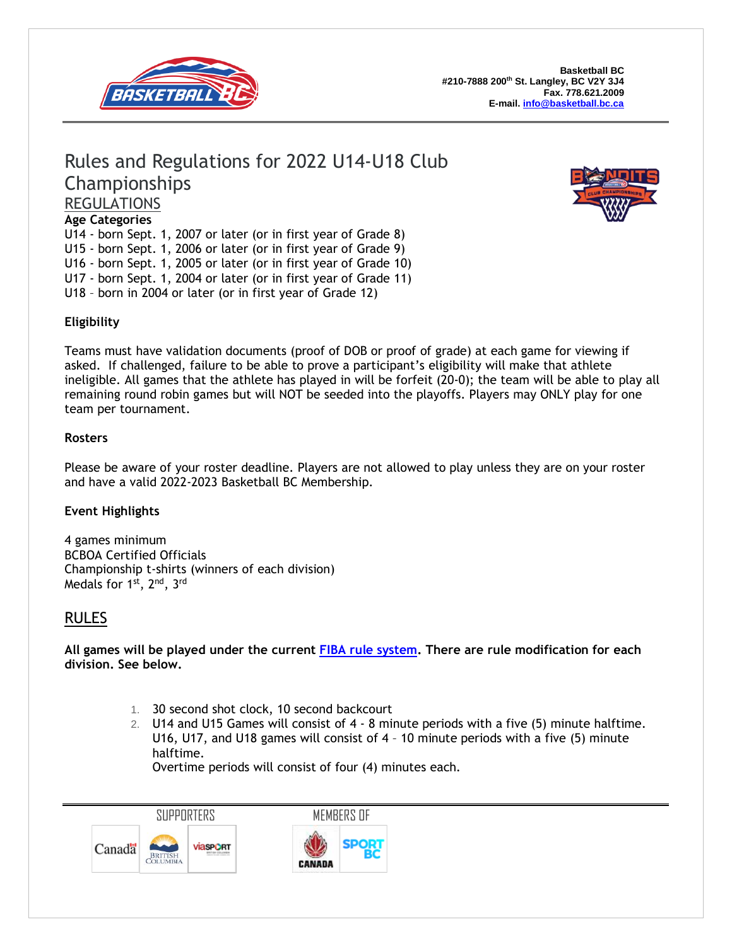

# Rules and Regulations for 2022 U14-U18 Club Championships REGULATIONS



U14 - born Sept. 1, 2007 or later (or in first year of Grade 8) U15 - born Sept. 1, 2006 or later (or in first year of Grade 9) U16 - born Sept. 1, 2005 or later (or in first year of Grade 10) U17 - born Sept. 1, 2004 or later (or in first year of Grade 11) U18 – born in 2004 or later (or in first year of Grade 12)



### **Eligibility**

Teams must have validation documents (proof of DOB or proof of grade) at each game for viewing if asked. If challenged, failure to be able to prove a participant's eligibility will make that athlete ineligible. All games that the athlete has played in will be forfeit (20-0); the team will be able to play all remaining round robin games but will NOT be seeded into the playoffs. Players may ONLY play for one team per tournament.

#### **Rosters**

Please be aware of your roster deadline. Players are not allowed to play unless they are on your roster and have a valid 2022-2023 Basketball BC Membership.

### **Event Highlights**

4 games minimum BCBOA Certified Officials Championship t-shirts (winners of each division) Medals for 1 $^{\rm st}$ , 2 $^{\rm nd}$ , 3 $^{\rm rd}$ 

## RULES

**All games will be played under the current FIBA rule [system.](https://drive.google.com/folderview?id=0B6hP9lCyRbZ5cmQ2MFdJT1VWVG8&usp=sharing) There are rule modification for each division. See below.**

- 1. 30 second shot clock, 10 second backcourt
- 2. U14 and U15 Games will consist of 4 8 minute periods with a five (5) minute halftime. U16, U17, and U18 games will consist of 4 – 10 minute periods with a five (5) minute halftime.

Overtime periods will consist of four (4) minutes each.